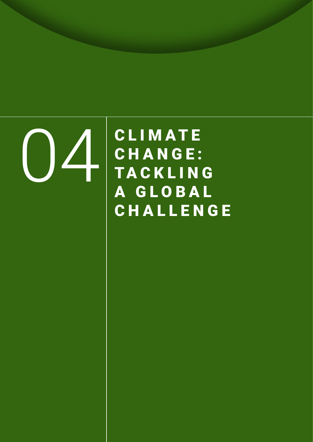OH CLIMATE CHANGE: **TACKLING** A G L O B A L CHALLENGE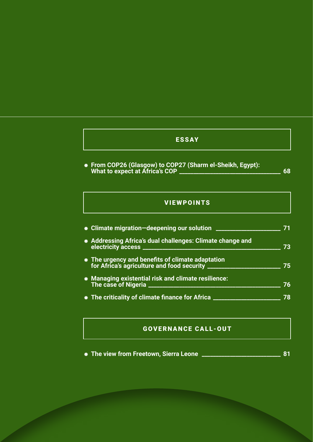### ESSAY

⁕ **From COP26 (Glasgow) to COP27 (Sharm el-Sheikh, Egypt): What to expect at Africa's COP \_\_\_\_\_\_\_\_\_\_\_\_\_\_\_\_\_\_\_\_\_\_\_\_\_\_\_\_\_\_\_\_\_\_\_\_ 68**

### VIEWPOINTS

| * Climate migration-deepening our solution ____           |    |
|-----------------------------------------------------------|----|
| * Addressing Africa's dual challenges: Climate change and | 73 |
|                                                           | 75 |
| * Managing existential risk and climate resilience:       | 76 |
| The criticality of climate finance for Africa ______      | 78 |

### GOVERNANCE CALL-OUT

⁕ **The view from Freetown, Sierra Leone \_\_\_\_\_\_\_\_\_\_\_\_\_\_\_\_\_\_\_\_\_\_\_\_\_\_\_\_ 81**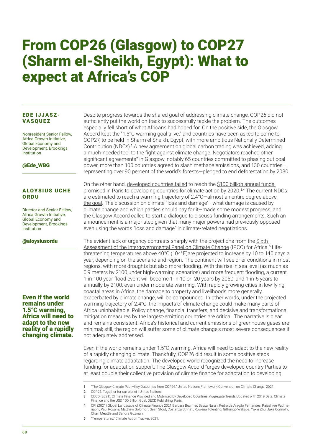# From COP26 (Glasgow) to COP27 (Sharm el-Sheikh, Egypt): What to expect at Africa's COP

#### EDE IJJASZ-**VASQUEZ**

Nonresident Senior Fellow, Africa Growth Initiative, Global Economy and Development, Brookings Institution

#### @Ede\_WBG

#### ALOYSIUS UCHE ORDU

Director and Senior Fellow, Africa Growth Initiative, Global Economy and Development, Brookings Institution

#### @aloysiusordu

Even if the world remains under 1.5°C warming, Africa will need to adapt to the new reality of a rapidly changing climate.

Despite progress towards the shared goal of addressing climate change, COP26 did not sufficiently put the world on track to successfully tackle the problem. The outcomes especially fell short of what Africans had hoped for. On the positive side, [the Glasgow](https://unfccc.int/process-and-meetings/the-paris-agreement/the-glasgow-climate-pact-key-outcomes-from-cop26)  [Accord kept the "1.5°C warming goal alive](https://unfccc.int/process-and-meetings/the-paris-agreement/the-glasgow-climate-pact-key-outcomes-from-cop26)," and countries have been asked to come to COP27, to be held in Sharm el Sheikh, Egypt, with more ambitious Nationally Determined Contribution (NDCs).<sup>1</sup> A new agreement on global carbon trading was achieved, adding a much-needed tool to the fight against climate change. Negotiators reached other significant agreements<sup>2</sup> in Glasgow, notably 65 countries committed to phasing out coal power, more than 100 countries agreed to slash methane emissions, and 130 countries representing over 90 percent of the world's forests—pledged to end deforestation by 2030.

On the other hand, [developed countries failed](https://www.un.org/en/climatechange/cop26) to reach the \$100 billion [annual funds](http://www.climatepolicyinitiative.org/publication/global-landscape-of-climate-finance-2021/)  [promised in Paris](http://www.climatepolicyinitiative.org/publication/global-landscape-of-climate-finance-2021/) to developing countries for climate action by 2020.<sup>3,4</sup> The current NDCs are estimated to reach a warming trajectory of 2.4°C-almost an entire degree above [the goal](https://climateactiontracker.org/global/temperatures/). The discussion on climate "loss and damage"—what damage is caused by climate change and which parties should pay for it—made some modest progress, and the Glasgow Accord called to start a dialogue to discuss funding arrangements. Such an announcement is a major step given that many major powers had previously opposed even using the words "loss and damage" in climate-related negotiations.

The evident lack of urgency contrasts sharply with the projections from the Sixth [Assessment of the Intergovernmental Panel on Climate Change](https://www.ipcc.ch/assessment-report/ar6/) (IPCC) for Africa.<sup>5</sup> Lifethreatening temperatures above 40°C (104°F)are projected to increase by 10 to 140 days a year, depending on the scenario and region. The continent will see drier conditions in most regions, with more droughts but also more flooding. With the rise in sea level (as much as 0.9 meters by 2100 under high-warming scenarios) and more frequent flooding, a current 1-in-100 year flood event will become 1-in-10 or -20 years by 2050, and 1-in-5 years to annually by 2100, even under moderate warming. With rapidly growing cities in low-lying coastal areas in Africa, the damage to property and livelihoods more generally, exacerbated by climate change, will be compounded. In other words, under the projected warming trajectory of 2.4°C, the impacts of climate change could make many parts of Africa uninhabitable. Policy change, financial transfers, and decisive and transformational mitigation measures by the largest-emitting countries are critical. The narrative is clear and remains consistent: Africa's historical and current emissions of greenhouse gases are minimal; still, the region will suffer some of climate change's most severe consequences if not adequately addressed.

Even if the world remains under 1.5°C warming, Africa will need to adapt to the new reality of a rapidly changing climate. Thankfully, COP26 did result in some positive steps regarding climate adaptation. The developed world recognized the need to increase funding for adaptation support: The Glasgow Accord "urges developed country Parties to at least double their collective provision of climate finance for adaptation to developing

2 COP26: Together for our planet | United Nations

5 Temperatures" Climate Action Tracker, 2021

<sup>1</sup> "The Glasgow Climate Pact—Key Outcomes from COP26." United Nations Framework Convention on Climate Change, 2021.

<sup>3</sup> OECD (2021), Climate Finance Provided and Mobilised by Developed Countries: Aggregate Trends Updated with 2019 Data, Climate Finance and the USD 100 Billion Goal, OECD Publishing, Paris.

<sup>4</sup> CPI (2021) Global Landscape of Climate Finance 2021 Barbara Buchner, Baysa Naran, Pedro de Aragão Fernandes, Rajashree Padmanabhi, Paul Rosane, Matthew Solomon, Sean Stout, Costanza Strinati, Rowena Tolentino, Githungo Wakaba, Yaxin Zhu, Jake Connolly, Chavi Meattle and Sandra Guzmán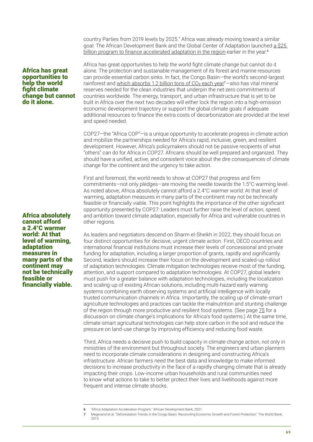country Parties from 2019 levels by 2025." Africa was already moving toward a similar goal: The African Development Bank and the Global Center of Adaptation launched a \$25 [billion program to finance accelerated adaptation in the region](https://www.afdb.org/en/topics-and-sectors/initiatives-partnerships/africa-adaptation-acceleration-program) earlier in the year.<sup>6</sup>

#### Africa has great opportunities to help the world fight climate change but cannot do it alone.

Africa absolutely cannot afford a 2.4°C warmer world: At that level of warming, adaptation measures in many parts of the continent may not be technically feasible or financially viable.

Africa has great opportunities to help the world fight climate change but cannot do it alone. The protection and sustainable management of its forest and marine resources can provide essential carbon sinks. In fact, the Congo Basin—the world's second-largest rainforest and which absorbs 1.2 billion tons of  $CO<sub>2</sub>$  each year<sup>7</sup> – also has vital mineral reserves needed for the clean industries that underpin the net-zero commitments of countries worldwide. The energy, transport, and urban infrastructure that is yet to be built in Africa over the next two decades will either lock the region into a high-emission economic development trajectory or support the global climate goals if adequate additional resources to finance the extra costs of decarbonization are provided at the level and speed needed.

COP27—the "Africa COP"—is a unique opportunity to accelerate progress in climate action and mobilize the partnerships needed for Africa's rapid, inclusive, green, and resilient development. However, Africa's policymakers should not be passive recipients of what "others" can do for Africa in COP27. Africans should be well prepared and organized. They should have a unified, active, and consistent voice about the dire consequences of climate change for the continent and the urgency to take action.

First and foremost, the world needs to show at COP27 that progress and firm commitments—not only pledges—are moving the needle towards the 1.5°C warming level. As noted above, Africa absolutely cannot afford a 2.4°C warmer world: At that level of warming, adaptation measures in many parts of the continent may not be technically feasible or financially viable. This point highlights the importance of the other significant opportunity presented by COP27: Leaders must further raise the level of action, speed, and ambition toward climate adaptation, especially for Africa and vulnerable countries in other regions.

As leaders and negotiators descend on Sharm el-Sheikh in 2022, they should focus on four distinct opportunities for decisive, urgent climate action. First, OECD countries and international financial institutions must increase their levels of concessional and private funding for adaptation, including a larger proportion of grants, rapidly and significantly. Second, leaders should increase their focus on the development and scaled-up rollout of adaptation technologies. Climate mitigation technologies receive most of the funding, attention, and support compared to adaptation technologies. At COP27, global leaders must push for a greater balance with adaptation technologies, including the localization and scaling-up of existing African solutions, including multi-hazard early warning systems combining earth observing systems and artificial intelligence with locally trusted communication channels in Africa. Importantly, the scaling up of climate-smart agriculture technologies and practices can tackle the malnutrition and stunting challenge of the region through more productive and resilient food systems. (See page 75 for a discussion on climate change's implications for Africa's food systems.) At the same time, climate-smart agricultural technologies can help store carbon in the soil and reduce the pressure on land-use change by improving efficiency and reducing food waste.

Third, Africa needs a decisive push to build capacity in climate change action, not only in ministries of the environment but throughout society. The engineers and urban planners need to incorporate climate considerations in designing and constructing Africa's infrastructure. African farmers need the best data and knowledge to make informed decisions to increase productivity in the face of a rapidly changing climate that is already impacting their crops. Low-income urban households and rural communities need to know what actions to take to better protect their lives and livelihoods against more frequent and intense climate shocks.

<sup>6</sup> "Africa Adaptation Acceleration Program." African Development Bank, 2021.

<sup>7</sup> Megevand et al. "Deforestation Trends in the Congo Basin: Reconciling Economic Growth and Forest Protection." The World Bank, 2013.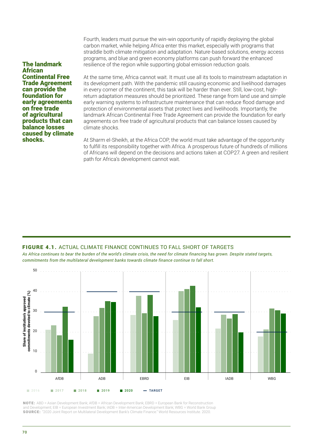Fourth, leaders must pursue the win-win opportunity of rapidly deploying the global carbon market, while helping Africa enter this market, especially with programs that straddle both climate mitigation and adaptation. Nature-based solutions, energy access programs, and blue and green economy platforms can push forward the enhanced resilience of the region while supporting global emission reduction goals.

The landmark African Continental Free Trade Agreement can provide the foundation for early agreements on free trade of agricultural products that can balance losses caused by climate shocks.

At the same time, Africa cannot wait. It must use all its tools to mainstream adaptation in its development path. With the pandemic still causing economic and livelihood damages in every corner of the continent, this task will be harder than ever. Still, low-cost, highreturn adaptation measures should be prioritized. These range from land use and simple early warning systems to infrastructure maintenance that can reduce flood damage and protection of environmental assets that protect lives and livelihoods. Importantly, the landmark African Continental Free Trade Agreement can provide the foundation for early agreements on free trade of agricultural products that can balance losses caused by climate shocks.

At Sharm el-Sheikh, at the Africa COP, the world must take advantage of the opportunity to fulfill its responsibility together with Africa. A prosperous future of hundreds of millions of Africans will depend on the decisions and actions taken at COP27. A green and resilient path for Africa's development cannot wait.

#### FIGURE 4.1. ACTUAL CLIMATE FINANCE CONTINUES TO FALL SHORT OF TARGETS

*As Africa continues to bear the burden of the world's climate crisis, the need for climate financing has grown. Despite stated targets, commitments from the multilateral development banks towards climate finance continue to fall short.*



NOTE: ABD = Asian Development Bank; AfDB = African Development Bank; EBRD = European Bank for Reconstruction and Development; EIB = European Investment Bank; IADB = Inter-American Development Bank; WBG = World Bank Group SOURCE: "2020 Joint Report on Multilateral Development Bank's Climate Finance." World Resources Institute. 2020.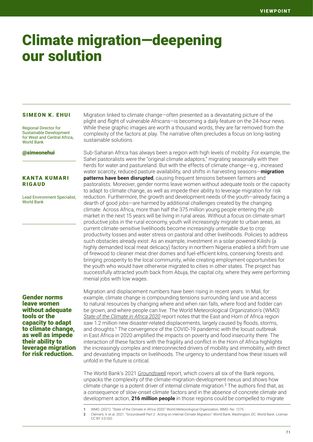## Climate migration—deepening our solution

#### SIMEON K. EHUI

Regional Director for Sustainable Development for West and Central Africa, World Bank

#### @simeonehui

#### KANTA KUMARI RIGAUD

Lead Environment Specialist, World Bank

#### Gender norms leave women without adequate tools or the capacity to adapt to climate change, as well as impede their ability to leverage migration for risk reduction.

Migration linked to climate change—often presented as a devastating picture of the plight and flight of vulnerable Africans—is becoming a daily feature on the 24-hour news. While these graphic images are worth a thousand words, they are far removed from the complexity of the factors at play. The narrative often precludes a focus on long-lasting sustainable solutions.

Sub-Saharan Africa has always been a region with high levels of mobility. For example, the Sahel pastoralists were the "original climate adaptors," migrating seasonally with their herds for water and pastureland. But with the effects of climate change—e.g., increased water scarcity, reduced pasture availability, and shifts in harvesting seasons—**migration patterns have been disrupted**, causing frequent tensions between farmers and pastoralists. Moreover, gender norms leave women without adequate tools or the capacity to adapt to climate change, as well as impede their ability to leverage migration for risk reduction. Furthermore, the growth and development needs of the youth—already facing a dearth of good jobs—are harmed by additional challenges created by the changing climate. Across Africa, more than half the 375 million young people entering the job market in the next 15 years will be living in rural areas. Without a focus on climate-smart productive jobs in the rural economy, youth will increasingly migrate to urban areas, as current climate-sensitive livelihoods become increasingly untenable due to crop productivity losses and water stress on pastoral and other livelihoods. Policies to address such obstacles already exist: As an example, investment in a solar-powered Kilishi (a highly demanded local meat delicacy) factory in northern Nigeria enabled a shift from use of firewood to cleaner meat drier domes and fuel-efficient kilns, conserving forests and bringing prosperity to the local community, while creating employment opportunities for the youth who would have otherwise migrated to cities in other states. The project has successfully attracted youth back from Abuja, the capital city, where they were performing menial jobs with low wages.

Migration and displacement numbers have been rising in recent years. In Mali, for example, climate change is compounding tensions surrounding land use and access to natural resources by changing where and when rain falls, where food and fodder can be grown, and where people can live. The World Meteorological Organization's (WMO) *[State of the Climate in Africa 2020](https://public.wmo.int/en/our-mandate/climate/wmo-statement-state-of-global-climate/Africa#:~:text=The%20rate%20of%20temperature%20increase,eighth%20warmest%20year%20on%20record.)* report notes that the East and Horn of Africa region saw 1.2 million new disaster-related displacements, largely caused by floods, storms, and droughts.<sup>1</sup> The convergence of the COVID-19 pandemic with the locust outbreak in East Africa in 2020 amplified the impacts on poverty and food insecurity there. The interaction of these factors with the fragility and conflict in the Horn of Africa highlights the increasingly complex and interconnected drivers of mobility and immobility, with direct and devastating impacts on livelihoods. The urgency to understand how these issues will unfold in the future is critical.

The World Bank's 2021 *[Groundswell](https://openknowledge.worldbank.org/handle/10986/36248)* report, which covers all six of the Bank regions, unpacks the complexity of the climate-migration-development nexus and shows how climate change is a potent driver of internal climate migration.<sup>2</sup> The authors find that, as a consequence of slow-onset climate factors and in the absence of concrete climate and development action, **216 million people** in those regions could be compelled to migrate

<sup>1</sup> WMO. (2021). "State of the Climate in Africa 2020." World Meteorological Organization, WMO- No. 1275.

<sup>2</sup> Clement, V. et al. 2021. "Groundswell Part 2 : Acting on Internal Climate Migration." World Bank, Washington, DC. World Bank. License CC BY 3.0 IGO.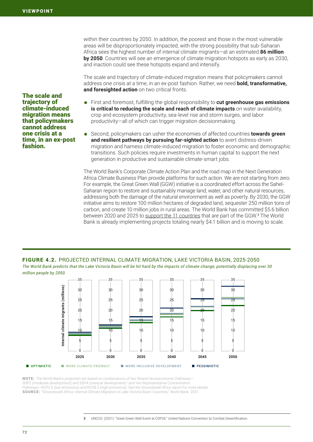within their countries by 2050. In addition, the poorest and those in the most vulnerable areas will be disproportionately impacted, with the strong possibility that sub-Saharan Africa sees the highest number of internal climate migrants—at an estimated **86 million by 2050**. Countries will see an emergence of climate migration hotspots as early as 2030, and inaction could see these hotspots expand and intensify.

The scale and trajectory of climate-induced migration means that policymakers cannot address one crisis at a time, in an ex-post fashion. Rather, we need **bold, transformative, and foresighted action** on two critical fronts.

The scale and trajectory of climate-induced migration means that policymakers cannot address one crisis at a time, in an ex-post fashion.

- ⁕ First and foremost, fulfilling the global responsibility to **cut greenhouse gas emissions is critical to reducing the scale and reach of climate impacts** on water availability, crop and ecosystem productivity, sea-level rise and storm surges, and labor productivity—all of which can trigger migration decisionmaking.
- ⁕ Second, policymakers can usher the economies of affected countries **towards green and resilient pathways by pursuing far-sighted action** to avert distress-driven migration and harness climate-induced migration to foster economic and demographic transitions. Such policies require investments in human capital to support the next generation in productive and sustainable climate-smart jobs.

The World Bank's Corporate Climate Action Plan and the road map in the Next Generation Africa Climate Business Plan provide platforms for such action. We are not starting from zero. For example, the Great Green Wall (GGW) initiative is a coordinated effort across the Sahel-Saharan region to restore and sustainably manage land, water, and other natural resources, addressing both the damage of the natural environment as well as poverty. By 2030, the GGW initiative aims to restore 100 million hectares of degraded land, sequester 250 million tons of carbon, and create 10 million jobs in rural areas. The World Bank has committed \$5.6 billion between 2020 and 2025 to [support the 11 countries](https://www.unccd.int/news-events/great-green-wall-event-cop26) that are part of the GGW.<sup>3</sup> The World Bank is already implementing projects totaling nearly \$4.1 billion and is moving to scale.

#### FIGURE 4.2. PROJECTED INTERNAL CLIMATE MIGRATION, LAKE VICTORIA BASIN, 2025-2050

*The World Bank predicts that the Lake Victoria Basin will be hit hard by the impacts of climate change, potentially displacing over 30 million people by 2050.*



NOTE: The World Bank's projection are based on combinations of two Shared Socioeconomic Pathways— SSP2 (moderate development) and SSP4 (unequal development)—and two Representative Concentration Pathways—RCP2.6 (low emissions) and RCP8.5 (high emissions). See the *Groundswell Africa* report for more details. SOURCE: "Groundswell Africa: Internal Climate Migration in Lake Victoria Basin Countries," World Bank. 2021.

3 UNCCD. (2021). "Great Green Wall Event at COP26." United Nations Convention to Combat Desertification.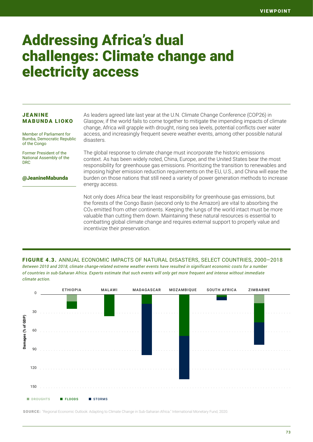### Addressing Africa's dual challenges: Climate change and electricity access

#### JEANINE MABUNDA LIOKO

Member of Parliament for Bumba, Democratic Republic of the Congo

Former President of the National Assembly of the DRC

@JeanineMabunda

As leaders agreed late last year at the U.N. Climate Change Conference (COP26) in Glasgow, if the world fails to come together to mitigate the impending impacts of climate change, Africa will grapple with drought, rising sea levels, potential conflicts over water access, and increasingly frequent severe weather events, among other possible natural disasters.

The global response to climate change must incorporate the historic emissions context. As has been widely noted, China, Europe, and the United States bear the most responsibility for greenhouse gas emissions. Prioritizing the transition to renewables and imposing higher emission reduction requirements on the EU, U.S., and China will ease the burden on those nations that still need a variety of power generation methods to increase energy access.

Not only does Africa bear the least responsibility for greenhouse gas emissions, but the forests of the Congo Basin (second only to the Amazon) are vital to absorbing the CO<sub>2</sub> emitted from other continents. Keeping the lungs of the world intact must be more valuable than cutting them down. Maintaining these natural resources is essential to combatting global climate change and requires external support to properly value and incentivize their preservation.

#### *Between 2010 and 2018, climate change-related extreme weather events have resulted in significant economic costs for a number of countries in sub-Saharan Africa. Experts estimate that such events will only get more frequent and intense without immediate*  FIGURE 4.3. ANNUAL ECONOMIC IMPACTS OF NATURAL DISASTERS, SELECT COUNTRIES, 2000–2018



SOURCE: "Regional Economic Outlook: Adapting to Climate Change in Sub-Saharan Africa." International Monetary Fund, 2020.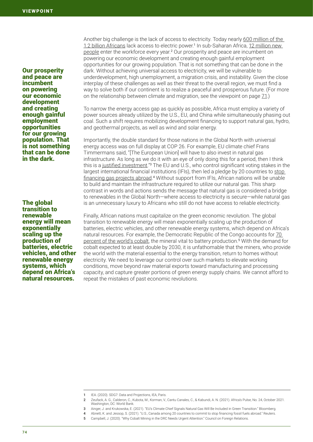Our prosperity and peace are incumbent on powering our economic development and creating enough gainful employment opportunities for our growing population. That is not something that can be done in the dark.

The global transition to renewable energy will mean exponentially scaling up the production of batteries, electric vehicles, and other renewable energy systems, which depend on Africa's natural resources.

Another big challenge is the lack of access to electricity. Today nearly [600 million of the](https://www.iea.org/reports/sdg7-data-and-projections)  [1.2 billion Africans](https://www.iea.org/reports/sdg7-data-and-projections) lack access to electric power.<sup>1</sup> In sub-Saharan Africa, [12 million new](https://openknowledge.worldbank.org/handle/10986/36332)  [people](https://openknowledge.worldbank.org/handle/10986/36332) enter the workforce every year.<sup>2</sup> Our prosperity and peace are incumbent on powering our economic development and creating enough gainful employment opportunities for our growing population. That is not something that can be done in the dark. Without achieving universal access to electricity, we will be vulnerable to underdevelopment, high unemployment, a migration crisis, and instability. Given the close interplay of these challenges as well as their threat to the overall region, we must find a way to solve both if our continent is to realize a peaceful and prosperous future. (For more on the relationship between climate and migration, see the viewpoint on page 71.)

To narrow the energy access gap as quickly as possible, Africa must employ a variety of power sources already utilized by the U.S., EU, and China while simultaneously phasing out coal. Such a shift requires mobilizing development financing to support natural gas, hydro, and geothermal projects, as well as wind and solar energy.

Importantly, the double standard for those nations in the Global North with universal energy access was on full display at COP 26. For example, EU climate chief Frans Timmermans said, "[The European Union] will have to also invest in natural gas infrastructure. As long as we do it with an eye of only doing this for a period, then I think this is a [justified investment](https://www.bloombergquint.com/business/eu-s-climate-chief-signals-gas-will-be-included-in-transition)."<sup>3</sup> The EU and U.S., who control significant voting stakes in the largest international financial institutions (IFIs), then led a pledge by 20 countries to [stop](https://www.reuters.com/business/cop/19-countries-plan-cop26-deal-end-financing-fossil-fuels-abroad-sources-2021-11-03/)  [financing gas projects abroad](https://www.reuters.com/business/cop/19-countries-plan-cop26-deal-end-financing-fossil-fuels-abroad-sources-2021-11-03/).<sup>4</sup> Without support from IFIs, African nations will be unable to build and maintain the infrastructure required to utilize our natural gas. This sharp contrast in words and actions sends the message that natural gas is considered a bridge to renewables in the Global North—where access to electricity is secure—while natural gas is an unnecessary luxury to Africans who still do not have access to reliable electricity.

Finally, African nations must capitalize on the green economic revolution. The global transition to renewable energy will mean exponentially scaling up the production of batteries, electric vehicles, and other renewable energy systems, which depend on Africa's natural resources. For example, the Democratic Republic of the Congo accounts for [70](https://www.cfr.org/blog/why-cobalt-mining-drc-needs-urgent-attention)  [percent of the world's cobalt,](https://www.cfr.org/blog/why-cobalt-mining-drc-needs-urgent-attention) the mineral vital to battery production.<sup>5</sup> With the demand for cobalt expected to at least double by 2030, it is unfathomable that the miners, who provide the world with the material essential to the energy transition, return to homes without electricity. We need to leverage our control over such markets to elevate working conditions, move beyond raw material exports toward manufacturing and processing capacity, and capture greater portions of green energy supply chains. We cannot afford to repeat the mistakes of past economic revolutions.

<sup>1</sup> IEA. (2020). SDG7: Data and Projections, IEA, Paris.

<sup>2</sup> Zeufack, A. G., Calderon, C., Kubota, M., Korman, V., Cantu Canales, C., & Kabundi, A. N. (2021). Africa's Pulse, No. 24, October 2021. Washington, DC: World Bank.

<sup>3</sup> Ainger, J. and Krukowska, E. (2021). "EU's Climate Chief Signals Natural Gas Will Be Included in Green Transition." Bloomberg.

<sup>4</sup> Abnett, K. and Jessop, S. (2021). "U.S., Canada among 20 countries to commit to stop financing fossil fuels abroad." Reuters.

<sup>5</sup> Campbell, J. (2020). "Why Cobalt Mining in the DRC Needs Urgent Attention." Council on Foreign Relations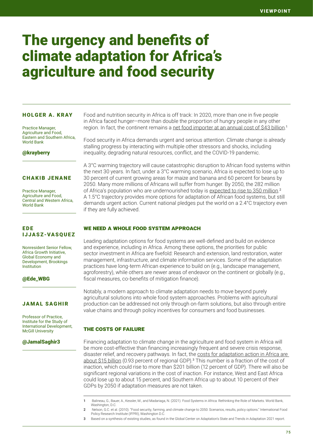# The urgency and benefits of climate adaptation for Africa's agriculture and food security

#### HOLGER A. KRAY

Practice Manager, Agriculture and Food, Eastern and Southern Africa, World Bank

@krayberry

#### CHAKIB JENANE

Practice Manager, Agriculture and Food, Central and Western Africa, World Bank

### EDE IJJASZ-VASQUEZ

Nonresident Senior Fellow, Africa Growth Initiative, Global Economy and Development, Brookings Institution

#### @Ede\_WBG

#### JAMAL SAGHIR

Professor of Practice, Institute for the Study of International Development, McGill University

#### @JamalSaghir3

Food and nutrition security in Africa is off track: In 2020, more than one in five people in Africa faced hunger—more than double the proportion of hungry people in any other region. In fact, the continent remains a [net food importer at an annual cost of \\$43 billion](https://openknowledge.worldbank.org/handle/10986/34919).<sup>1</sup>

Food security in Africa demands urgent and serious attention. Climate change is already stalling progress by interacting with multiple other stressors and shocks, including inequality, degrading natural resources, conflict, and the COVID-19 pandemic.

A 3°C warming trajectory will cause catastrophic disruption to African food systems within the next 30 years. In fact, under a 3°C warming scenario, Africa is expected to lose up to 30 percent of current growing areas for maize and banana and 60 percent for beans by 2050. Many more millions of Africans will suffer from hunger. By 2050, the 282 million of Africa's population who are undernourished today is [expected to rise to 350 million](https://www.ifpri.org/publication/food-security-farming-and-climate-change-2050).<sup>2</sup> A 1.5°C trajectory provides more options for adaptation of African food systems, but still demands urgent action. Current national pledges put the world on a 2.4°C trajectory even if they are fully achieved.

#### WE NEED A WHOLE FOOD SYSTEM APPROACH

Leading adaptation options for food systems are well-defined and build on evidence and experience, including in Africa. Among these options, the priorities for public sector investment in Africa are fivefold: Research and extension, land restoration, water management, infrastructure, and climate information services. Some of the adaptation practices have long-term African experience to build on (e.g., landscape management, agroforestry), while others are newer areas of endeavor on the continent or globally (e.g., fiscal measures, co-benefits of mitigation finance).

Notably, a modern approach to climate adaptation needs to move beyond purely agricultural solutions into whole food system approaches. Problems with agricultural production can be addressed not only through on-farm solutions, but also through entire value chains and through policy incentives for consumers and food businesses.

#### The costs of failure

Financing adaptation to climate change in the agriculture and food system in Africa will be more cost-effective than financing increasingly frequent and severe crisis response, disaster relief, and recovery pathways. In fact, the [costs for adaptation action in Africa are](https://gca.org/reports/state-and-trends-in-adaptation-report-2021/)  [about \\$15 billion](https://gca.org/reports/state-and-trends-in-adaptation-report-2021/) (0.93 percent of regional GDP).<sup>3</sup> This number is a fraction of the cost of inaction, which could rise to more than \$201 billion (12 percent of GDP). There will also be significant regional variations in the cost of inaction. For instance, West and East Africa could lose up to about 15 percent, and Southern Africa up to about 10 percent of their GDPs by 2050 if adaptation measures are not taken.

1 Balineau, G., Bauer, A., Kessler, M., and Madariaga, N. (2021). Food Systems in Africa: Rethinking the Role of Markets. World Bank, Washington, D.C.

- 2 Nelson, G.C. et al. (2010). "Food security, farming, and climate change to 2050: Scenarios, results, policy options." International Food Policy Research Institute (IFPRI), Washington D.C.
- 3 Based on a synthesis of existing studies, as found in the Global Center on Adaptation's State and Trends in Adaptation 2021 report.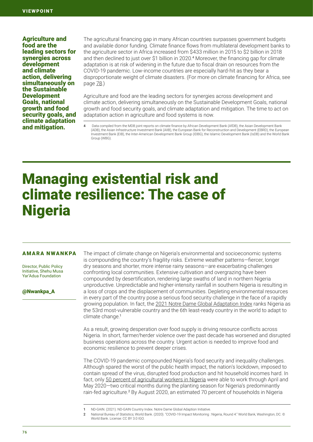Agriculture and food are the leading sectors for synergies across development and climate action, delivering simultaneously on the Sustainable **Development** Goals, national growth and food security goals, and climate adaptation and mitigation.

The agricultural financing gap in many African countries surpasses government budgets and available donor funding. Climate finance flows from multilateral development banks to the agriculture sector in Africa increased from \$433 million in 2015 to \$2 billion in 2018 and then declined to just over \$1 billion in 2020.<sup>4</sup> Moreover, the financing gap for climate adaptation is at risk of widening in the future due to fiscal drain on resources from the COVID-19 pandemic. Low-income countries are especially hard-hit as they bear a disproportionate weight of climate disasters. (For more on climate financing for Africa, see page 78.)

Agriculture and food are the leading sectors for synergies across development and climate action, delivering simultaneously on the Sustainable Development Goals, national growth and food security goals, and climate adaptation and mitigation. The time to act on adaptation action in agriculture and food systems is now.

## Managing existential risk and climate resilience: The case of Nigeria

#### AMARA NWANKPA

Director, Public Policy Initiative, Shehu Musa Yar'Adua Foundation

#### @Nwankpa\_A

The impact of climate change on Nigeria's environmental and socioeconomic systems is compounding the country's fragility risks. Extreme weather patterns—fiercer, longer dry seasons and shorter, more intense rainy seasons—are exacerbating challenges confronting local communities. Extensive cultivation and overgrazing have been compounded by desertification, rendering large swaths of land in northern Nigeria unproductive. Unpredictable and higher-intensity rainfall in southern Nigeria is resulting in a loss of crops and the displacement of communities. Depleting environmental resources in every part of the country pose a serious food security challenge in the face of a rapidly growing population. In fact, the [2021 Notre Dame Global Adaptation Index](https://gain.nd.edu/our-work/country-index/
) ranks Nigeria as the 53rd most-vulnerable country and the 6th least-ready country in the world to adapt to climate change.<sup>1</sup>

As a result, growing desperation over food supply is driving resource conflicts across Nigeria. In short, farmer/herder violence over the past decade has worsened and disrupted business operations across the country. Urgent action is needed to improve food and economic resilience to prevent deeper crises.

The COVID-19 pandemic compounded Nigeria's food security and inequality challenges. Although spared the worst of the public health impact, the nation's lockdown, imposed to contain spread of the virus, disrupted food production and hit household incomes hard. In fact, only [50 percent of agricultural workers in Nigeria](https://openknowledge.worldbank.org/handle/10986/34618) were able to work through April and May 2020—two critical months during the planting season for Nigeria's predominantly rain-fed agriculture.<sup>2</sup> By August 2020, an estimated 70 percent of households in Nigeria

2 National Bureau of Statistics; World Bank. (2020). "COVID-19 Impact Monitoring : Nigeria, Round 4." World Bank, Washington, DC. © World Bank. License: CC BY 3.0 IGO.

<sup>4</sup> Data compiled from the MDB joint reports on climate finance by African Development Bank (AfDB), the Asian Development Bank (ADB), the Asian Infrastructure Investment Bank (AIIB), the European Bank for Reconstruction and Development (EBRD), the European Investment Bank (EIB), the Inter-American Development Bank Group (IDBG), the Islamic Development Bank (IsDB) and the World Bank Group (WBG).

<sup>1</sup> ND-GAIN. (2021). ND-GAIN Country Index. Notre Dame Global Adaption Initiative.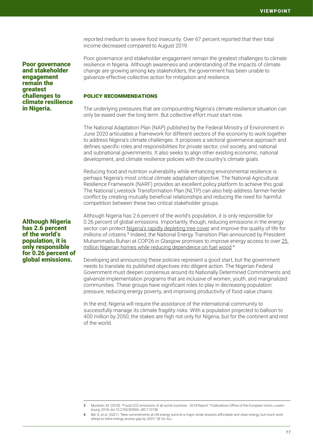reported medium to severe food insecurity. Over 67 percent reported that their total income decreased compared to August 2019.

Poor governance and stakeholder engagement remain the greatest challenges to climate resilience in Nigeria.

#### Although Nigeria has 2.6 percent of the world's population, it is only responsible for 0.26 percent of global emissions.

Poor governance and stakeholder engagement remain the greatest challenges to climate resilience in Nigeria. Although awareness and understanding of the impacts of climate change are growing among key stakeholders, the government has been unable to galvanize effective collective action for mitigation and resilience.

#### Policy recommendations

The underlying pressures that are compounding Nigeria's climate resilience situation can only be eased over the long term. But collective effort must start now.

The National Adaptation Plan (NAP) published by the Federal Ministry of Environment in June 2020 articulates a framework for different sectors of the economy to work together to address Nigeria's climate challenges. It proposes a sectoral governance approach and defines specific roles and responsibilities for private sector, civil society, and national and subnational governments. It also seeks to align other existing economic, national development, and climate resilience policies with the country's climate goals.

Reducing food and nutrition vulnerability while enhancing environmental resilience is perhaps Nigeria's most critical climate adaptation objective. The National Agricultural Resilience Framework (NARF) provides an excellent policy platform to achieve this goal. The National Livestock Transformation Plan (NLTP) can also help address farmer-herder conflict by creating mutually beneficial relationships and reducing the need for harmful competition between these two critical stakeholder groups.

Although Nigeria has 2.6 percent of the world's population, it is only responsible for 0.26 percent of global emissions. Importantly, though, reducing emissions in the energy sector can protect [Nigeria's rapidly depleting tree cover](https://publications.jrc.ec.europa.eu/repository/handle/JRC113738) and improve the quality of life for millions of citizens.<sup>3</sup> Indeed, the National Energy Transition Plan announced by President Muhammadu Buhari at COP26 in Glasgow promises to improve energy access to over [25](https://www.un.org/sustainabledevelopment/blog/2021/09/new-commitments-at-un-energy-summit-a-major-stride-towards-affordable-and-clean-energy-but-much-work-ahead-to-halve-energy-access-gap-by-2025/)  [million Nigerian homes while reducing dependence on fuel wood.](https://www.un.org/sustainabledevelopment/blog/2021/09/new-commitments-at-un-energy-summit-a-major-stride-towards-affordable-and-clean-energy-but-much-work-ahead-to-halve-energy-access-gap-by-2025/) 4

Developing and announcing these policies represent a good start, but the government needs to translate its published objectives into diligent action. The Nigerian Federal Government must deepen consensus around its Nationally Determined Commitments and galvanize implementation programs that are inclusive of women, youth, and marginalized communities. These groups have significant roles to play in decreasing population pressure, reducing energy poverty, and improving productivity of food value chains.

In the end, Nigeria will require the assistance of the international community to successfully manage its climate fragility risks. With a population projected to balloon to 400 million by 2050, the stakes are high not only for Nigeria, but for the continent and rest of the world.

<sup>3</sup> Muntean, M. (2018). "Fossil CO2 emissions of all world countries - 2018 Report." Publications Office of the European Union, Luxembourg, 2018, doi:10.2760/83904, JRC113738.

Bel, S. et al. (2021). "New commitments at UN energy summit a major stride towards affordable and clean energy, but much work ahead to halve energy access gap by 2025." SE for ALL.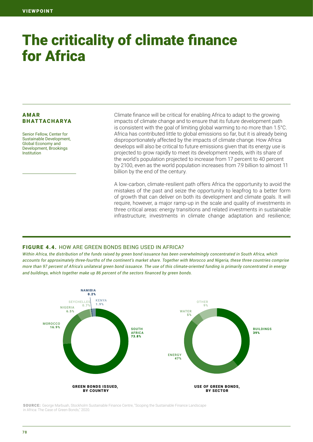# The criticality of climate finance for Africa

#### AMAR BHATTACHARYA

Senior Fellow, Center for Sustainable Development, Global Economy and Development, Brookings Institution

Climate finance will be critical for enabling Africa to adapt to the growing impacts of climate change and to ensure that its future development path is consistent with the goal of limiting global warming to no more than 1.5°C. Africa has contributed little to global emissions so far, but it is already being disproportionately affected by the impacts of climate change. How Africa develops will also be critical to future emissions given that its energy use is projected to grow rapidly to meet its development needs, with its share of the world's population projected to increase from 17 percent to 40 percent by 2100, even as the world population increases from 7.9 billion to almost 11 billion by the end of the century.

A low-carbon, climate-resilient path offers Africa the opportunity to avoid the mistakes of the past and seize the opportunity to leapfrog to a better form of growth that can deliver on both its development and climate goals. It will require, however, a major ramp-up in the scale and quality of investments in three critical areas: energy transitions and related investments in sustainable infrastructure; investments in climate change adaptation and resilience;

#### FIGURE 4.4. HOW ARE GREEN BONDS BEING USED IN AFRICA?

*Within Africa, the distribution of the funds raised by green bond issuance has been overwhelmingly concentrated in South Africa, which accounts for approximately three-fourths of the continent's market share. Together with Morocco and Nigeria, these three countries comprise more than 97 percent of Africa's unilateral green bond issuance. The use of this climate-oriented funding is primarily concentrated in energy and buildings, which together make up 86 percent of the sectors financed by green bonds.*



SOURCE: George Marbuah, Stockholm Sustainable Finance Centre, "Scoping the Sustainable Finance Landscape in Africa: The Case of Green Bonds," 2020.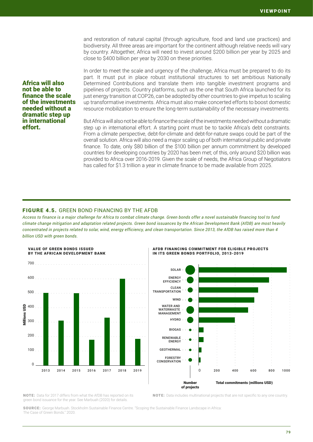and restoration of natural capital (through agriculture, food and land use practices) and biodiversity. All three areas are important for the continent although relative needs will vary by country. Altogether, Africa will need to invest around \$200 billion per year by 2025 and close to \$400 billion per year by 2030 on these priorities.

In order to meet the scale and urgency of the challenge, Africa must be prepared to do its part. It must put in place robust institutional structures to set ambitious Nationally Determined Contributions and translate them into tangible investment programs and pipelines of projects. Country platforms, such as the one that South Africa launched for its just energy transition at COP26, can be adopted by other countries to give impetus to scaling up transformative investments. Africa must also make concerted efforts to boost domestic resource mobilization to ensure the long-term sustainability of the necessary investments.

But Africa will also not be able to finance the scale of the investments needed without a dramatic step up in international effort. A starting point must be to tackle Africa's debt constraints. From a climate perspective, debt-for-climate and debt-for-nature swaps could be part of the overall solution. Africa will also need a major scaling up of both international public and private finance. To date, only \$80 billion of the \$100 billion per annum commitment by developed countries for developing countries by 2020 has been met; of this, only around \$20 billion was provided to Africa over 2016-2019. Given the scale of needs, the Africa Group of Negotiators has called for \$1.3 trillion a year in climate finance to be made available from 2025.

#### FIGURE 4.5. GREEN BOND FINANCING BY THE AFDB

Africa will also not be able to finance the scale of the investments needed without a dramatic step up in international

effort.

*Access to finance is a major challenge for Africa to combat climate change. Green bonds offer a novel sustainable financing tool to fund climate change mitigation and adaptation related projects. Green bond issuances by the African Development Bank (AfDB) are most heavily concentrated in projects related to solar, wind, energy efficiency, and clean transportation. Since 2013, the AfDB has raised more than 4 billion USD with green bonds.* 







NOTE: Data for 2017 differs from what the AfDB has reported on its green bond issuance for the year. See Marbuah (2020) for details.

NOTE: Data includes multinational projects that are not specific to any one country.

SOURCE: George Marbuah. Stockholm Sustainable Finance Centre. "Scoping the Sustainable Finance Landscape in Africa: The Case of Green Bonds." 2020.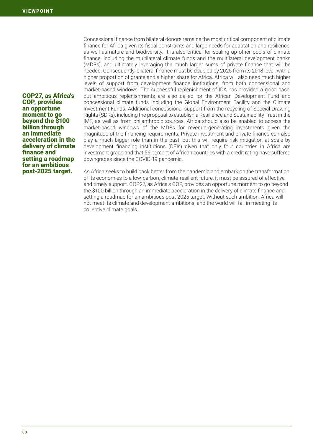COP27, as Africa's COP, provides an opportune moment to go beyond the \$100 billion through an immediate acceleration in the delivery of climate finance and setting a roadmap for an ambitious post-2025 target.

Concessional finance from bilateral donors remains the most critical component of climate finance for Africa given its fiscal constraints and large needs for adaptation and resilience, as well as nature and biodiversity. It is also critical for scaling up other pools of climate finance, including the multilateral climate funds and the multilateral development banks (MDBs), and ultimately leveraging the much larger sums of private finance that will be needed. Consequently, bilateral finance must be doubled by 2025 from its 2018 level, with a higher proportion of grants and a higher share for Africa. Africa will also need much higher levels of support from development finance institutions, from both concessional and market-based windows. The successful replenishment of IDA has provided a good base, but ambitious replenishments are also called for the African Development Fund and concessional climate funds including the Global Environment Facility and the Climate Investment Funds. Additional concessional support from the recycling of Special Drawing Rights (SDRs), including the proposal to establish a Resilience and Sustainability Trust in the IMF, as well as from philanthropic sources. Africa should also be enabled to access the market-based windows of the MDBs for revenue-generating investments given the magnitude of the financing requirements. Private investment and private finance can also play a much bigger role than in the past, but this will require risk mitigation at scale by development financing institutions (DFIs) given that only four countries in Africa are investment grade and that 56 percent of African countries with a credit rating have suffered downgrades since the COVID-19 pandemic.

As Africa seeks to build back better from the pandemic and embark on the transformation of its economies to a low-carbon, climate-resilient future, it must be assured of effective and timely support. COP27, as Africa's COP, provides an opportune moment to go beyond the \$100 billion through an immediate acceleration in the delivery of climate finance and setting a roadmap for an ambitious post-2025 target. Without such ambition, Africa will not meet its climate and development ambitions, and the world will fail in meeting its collective climate goals.